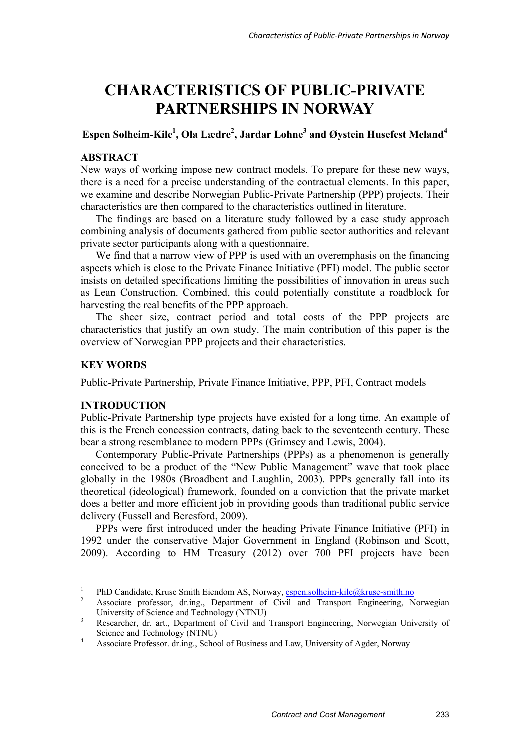# **CHARACTERISTICS OF PUBLIC-PRIVATE PARTNERSHIPS IN NORWAY**

# **Espen Solheim-Kile1 , Ola Lædre2 , Jardar Lohne<sup>3</sup> and Øystein Husefest Meland4**

# **ABSTRACT**

New ways of working impose new contract models. To prepare for these new ways, there is a need for a precise understanding of the contractual elements. In this paper, we examine and describe Norwegian Public-Private Partnership (PPP) projects. Their characteristics are then compared to the characteristics outlined in literature.

The findings are based on a literature study followed by a case study approach combining analysis of documents gathered from public sector authorities and relevant private sector participants along with a questionnaire.

We find that a narrow view of PPP is used with an overemphasis on the financing aspects which is close to the Private Finance Initiative (PFI) model. The public sector insists on detailed specifications limiting the possibilities of innovation in areas such as Lean Construction. Combined, this could potentially constitute a roadblock for harvesting the real benefits of the PPP approach.

The sheer size, contract period and total costs of the PPP projects are characteristics that justify an own study. The main contribution of this paper is the overview of Norwegian PPP projects and their characteristics.

# **KEY WORDS**

Public-Private Partnership, Private Finance Initiative, PPP, PFI, Contract models

# **INTRODUCTION**

Public-Private Partnership type projects have existed for a long time. An example of this is the French concession contracts, dating back to the seventeenth century. These bear a strong resemblance to modern PPPs (Grimsey and Lewis, 2004).

Contemporary Public-Private Partnerships (PPPs) as a phenomenon is generally conceived to be a product of the "New Public Management" wave that took place globally in the 1980s (Broadbent and Laughlin, 2003). PPPs generally fall into its theoretical (ideological) framework, founded on a conviction that the private market does a better and more efficient job in providing goods than traditional public service delivery (Fussell and Beresford, 2009).

PPPs were first introduced under the heading Private Finance Initiative (PFI) in 1992 under the conservative Major Government in England (Robinson and Scott, 2009). According to HM Treasury (2012) over 700 PFI projects have been

 $\frac{1}{1}$ PhD Candidate, Kruse Smith Eiendom AS, Norway,  $\frac{\text{espen}}{\text{e}^2}$  espential englished and  $\frac{\text{espen}}{\text{f}}$  experiment and  $\frac{\text{fpernet}}{\text{finternet}}$  englished and  $\frac{\text{fpernet}}{\text{finternet}}$ 

Associate professor, dr.ing., Department of Civil and Transport Engineering, Norwegian University of Science and Technology (NTNU)

<sup>3</sup> Researcher, dr. art., Department of Civil and Transport Engineering, Norwegian University of Science and Technology (NTNU)

<sup>4</sup> Associate Professor. dr.ing., School of Business and Law, University of Agder, Norway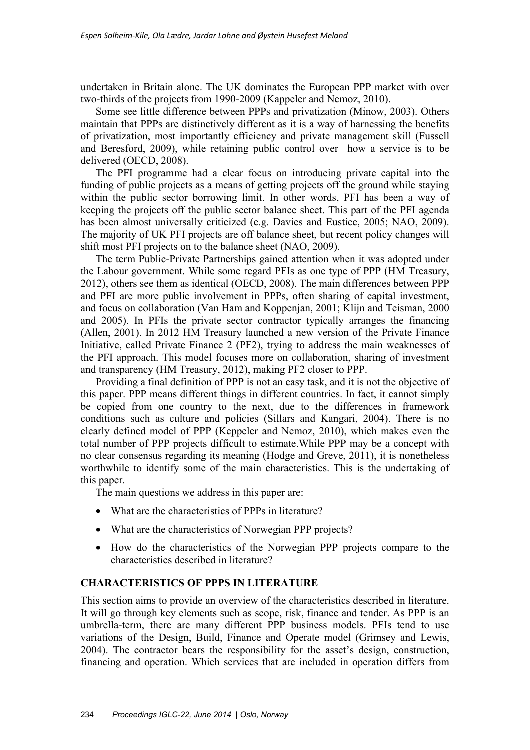undertaken in Britain alone. The UK dominates the European PPP market with over two-thirds of the projects from 1990-2009 (Kappeler and Nemoz, 2010).

Some see little difference between PPPs and privatization (Minow, 2003). Others maintain that PPPs are distinctively different as it is a way of harnessing the benefits of privatization, most importantly efficiency and private management skill (Fussell and Beresford, 2009), while retaining public control over how a service is to be delivered (OECD, 2008).

The PFI programme had a clear focus on introducing private capital into the funding of public projects as a means of getting projects off the ground while staying within the public sector borrowing limit. In other words, PFI has been a way of keeping the projects off the public sector balance sheet. This part of the PFI agenda has been almost universally criticized (e.g. Davies and Eustice, 2005; NAO, 2009). The majority of UK PFI projects are off balance sheet, but recent policy changes will shift most PFI projects on to the balance sheet (NAO, 2009).

The term Public-Private Partnerships gained attention when it was adopted under the Labour government. While some regard PFIs as one type of PPP (HM Treasury, 2012), others see them as identical (OECD, 2008). The main differences between PPP and PFI are more public involvement in PPPs, often sharing of capital investment, and focus on collaboration (Van Ham and Koppenjan, 2001; Klijn and Teisman, 2000 and 2005). In PFIs the private sector contractor typically arranges the financing (Allen, 2001). In 2012 HM Treasury launched a new version of the Private Finance Initiative, called Private Finance 2 (PF2), trying to address the main weaknesses of the PFI approach. This model focuses more on collaboration, sharing of investment and transparency (HM Treasury, 2012), making PF2 closer to PPP.

Providing a final definition of PPP is not an easy task, and it is not the objective of this paper. PPP means different things in different countries. In fact, it cannot simply be copied from one country to the next, due to the differences in framework conditions such as culture and policies (Sillars and Kangari, 2004). There is no clearly defined model of PPP (Keppeler and Nemoz, 2010), which makes even the total number of PPP projects difficult to estimate.While PPP may be a concept with no clear consensus regarding its meaning (Hodge and Greve, 2011), it is nonetheless worthwhile to identify some of the main characteristics. This is the undertaking of this paper.

The main questions we address in this paper are:

- What are the characteristics of PPPs in literature?
- What are the characteristics of Norwegian PPP projects?
- How do the characteristics of the Norwegian PPP projects compare to the characteristics described in literature?

# **CHARACTERISTICS OF PPPS IN LITERATURE**

This section aims to provide an overview of the characteristics described in literature. It will go through key elements such as scope, risk, finance and tender. As PPP is an umbrella-term, there are many different PPP business models. PFIs tend to use variations of the Design, Build, Finance and Operate model (Grimsey and Lewis, 2004). The contractor bears the responsibility for the asset's design, construction, financing and operation. Which services that are included in operation differs from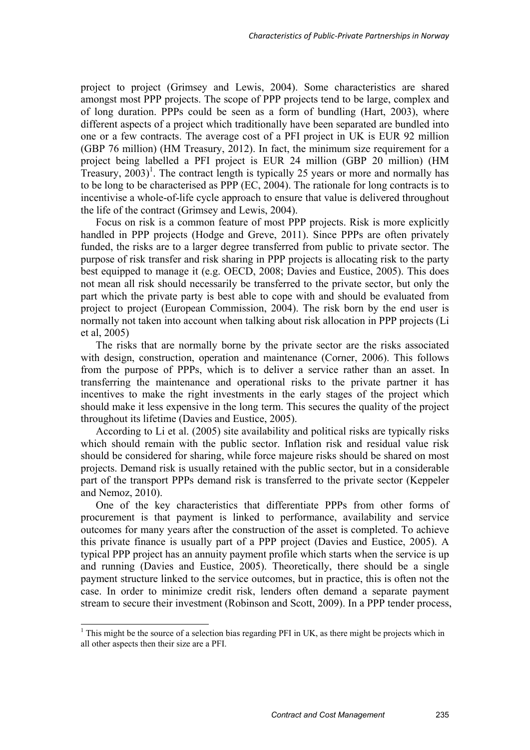project to project (Grimsey and Lewis, 2004). Some characteristics are shared amongst most PPP projects. The scope of PPP projects tend to be large, complex and of long duration. PPPs could be seen as a form of bundling (Hart, 2003), where different aspects of a project which traditionally have been separated are bundled into one or a few contracts. The average cost of a PFI project in UK is EUR 92 million (GBP 76 million) (HM Treasury, 2012). In fact, the minimum size requirement for a project being labelled a PFI project is EUR 24 million (GBP 20 million) (HM Treasury,  $2003$ <sup>1</sup>. The contract length is typically 25 years or more and normally has to be long to be characterised as PPP (EC, 2004). The rationale for long contracts is to incentivise a whole-of-life cycle approach to ensure that value is delivered throughout the life of the contract (Grimsey and Lewis, 2004).

Focus on risk is a common feature of most PPP projects. Risk is more explicitly handled in PPP projects (Hodge and Greve, 2011). Since PPPs are often privately funded, the risks are to a larger degree transferred from public to private sector. The purpose of risk transfer and risk sharing in PPP projects is allocating risk to the party best equipped to manage it (e.g. OECD, 2008; Davies and Eustice, 2005). This does not mean all risk should necessarily be transferred to the private sector, but only the part which the private party is best able to cope with and should be evaluated from project to project (European Commission, 2004). The risk born by the end user is normally not taken into account when talking about risk allocation in PPP projects (Li et al, 2005)

The risks that are normally borne by the private sector are the risks associated with design, construction, operation and maintenance (Corner, 2006). This follows from the purpose of PPPs, which is to deliver a service rather than an asset. In transferring the maintenance and operational risks to the private partner it has incentives to make the right investments in the early stages of the project which should make it less expensive in the long term. This secures the quality of the project throughout its lifetime (Davies and Eustice, 2005).

According to Li et al. (2005) site availability and political risks are typically risks which should remain with the public sector. Inflation risk and residual value risk should be considered for sharing, while force majeure risks should be shared on most projects. Demand risk is usually retained with the public sector, but in a considerable part of the transport PPPs demand risk is transferred to the private sector (Keppeler and Nemoz, 2010).

One of the key characteristics that differentiate PPPs from other forms of procurement is that payment is linked to performance, availability and service outcomes for many years after the construction of the asset is completed. To achieve this private finance is usually part of a PPP project (Davies and Eustice, 2005). A typical PPP project has an annuity payment profile which starts when the service is up and running (Davies and Eustice, 2005). Theoretically, there should be a single payment structure linked to the service outcomes, but in practice, this is often not the case. In order to minimize credit risk, lenders often demand a separate payment stream to secure their investment (Robinson and Scott, 2009). In a PPP tender process,

-

 $1$ <sup>1</sup> This might be the source of a selection bias regarding PFI in UK, as there might be projects which in all other aspects then their size are a PFI.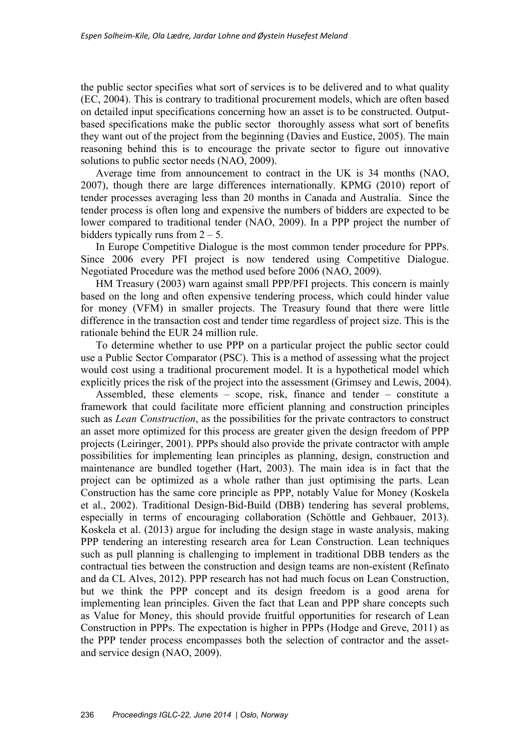the public sector specifies what sort of services is to be delivered and to what quality (EC, 2004). This is contrary to traditional procurement models, which are often based on detailed input specifications concerning how an asset is to be constructed. Outputbased specifications make the public sector thoroughly assess what sort of benefits they want out of the project from the beginning (Davies and Eustice, 2005). The main reasoning behind this is to encourage the private sector to figure out innovative solutions to public sector needs (NAO, 2009).

Average time from announcement to contract in the UK is 34 months (NAO, 2007), though there are large differences internationally. KPMG (2010) report of tender processes averaging less than 20 months in Canada and Australia. Since the tender process is often long and expensive the numbers of bidders are expected to be lower compared to traditional tender (NAO, 2009). In a PPP project the number of bidders typically runs from  $2 - 5$ .

In Europe Competitive Dialogue is the most common tender procedure for PPPs. Since 2006 every PFI project is now tendered using Competitive Dialogue. Negotiated Procedure was the method used before 2006 (NAO, 2009).

HM Treasury (2003) warn against small PPP/PFI projects. This concern is mainly based on the long and often expensive tendering process, which could hinder value for money (VFM) in smaller projects. The Treasury found that there were little difference in the transaction cost and tender time regardless of project size. This is the rationale behind the EUR 24 million rule.

To determine whether to use PPP on a particular project the public sector could use a Public Sector Comparator (PSC). This is a method of assessing what the project would cost using a traditional procurement model. It is a hypothetical model which explicitly prices the risk of the project into the assessment (Grimsey and Lewis, 2004).

Assembled, these elements – scope, risk, finance and tender – constitute a framework that could facilitate more efficient planning and construction principles such as *Lean Construction*, as the possibilities for the private contractors to construct an asset more optimized for this process are greater given the design freedom of PPP projects (Leiringer, 2001). PPPs should also provide the private contractor with ample possibilities for implementing lean principles as planning, design, construction and maintenance are bundled together (Hart, 2003). The main idea is in fact that the project can be optimized as a whole rather than just optimising the parts. Lean Construction has the same core principle as PPP, notably Value for Money (Koskela et al., 2002). Traditional Design-Bid-Build (DBB) tendering has several problems, especially in terms of encouraging collaboration (Schöttle and Gehbauer, 2013). Koskela et al. (2013) argue for including the design stage in waste analysis, making PPP tendering an interesting research area for Lean Construction. Lean techniques such as pull planning is challenging to implement in traditional DBB tenders as the contractual ties between the construction and design teams are non-existent (Refinato and da CL Alves, 2012). PPP research has not had much focus on Lean Construction, but we think the PPP concept and its design freedom is a good arena for implementing lean principles. Given the fact that Lean and PPP share concepts such as Value for Money, this should provide fruitful opportunities for research of Lean Construction in PPPs. The expectation is higher in PPPs (Hodge and Greve, 2011) as the PPP tender process encompasses both the selection of contractor and the assetand service design (NAO, 2009).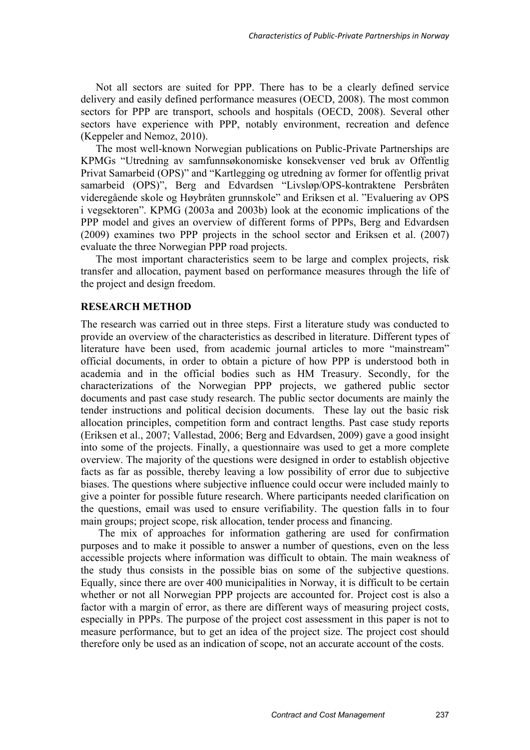Not all sectors are suited for PPP. There has to be a clearly defined service delivery and easily defined performance measures (OECD, 2008). The most common sectors for PPP are transport, schools and hospitals (OECD, 2008). Several other sectors have experience with PPP, notably environment, recreation and defence (Keppeler and Nemoz, 2010).

The most well-known Norwegian publications on Public-Private Partnerships are KPMGs "Utredning av samfunnsøkonomiske konsekvenser ved bruk av Offentlig Privat Samarbeid (OPS)" and "Kartlegging og utredning av former for offentlig privat samarbeid (OPS)", Berg and Edvardsen "Livsløp/OPS-kontraktene Persbråten videregående skole og Høybråten grunnskole" and Eriksen et al. "Evaluering av OPS i vegsektoren". KPMG (2003a and 2003b) look at the economic implications of the PPP model and gives an overview of different forms of PPPs, Berg and Edvardsen (2009) examines two PPP projects in the school sector and Eriksen et al. (2007) evaluate the three Norwegian PPP road projects.

The most important characteristics seem to be large and complex projects, risk transfer and allocation, payment based on performance measures through the life of the project and design freedom.

#### **RESEARCH METHOD**

The research was carried out in three steps. First a literature study was conducted to provide an overview of the characteristics as described in literature. Different types of literature have been used, from academic journal articles to more "mainstream" official documents, in order to obtain a picture of how PPP is understood both in academia and in the official bodies such as HM Treasury. Secondly, for the characterizations of the Norwegian PPP projects, we gathered public sector documents and past case study research. The public sector documents are mainly the tender instructions and political decision documents. These lay out the basic risk allocation principles, competition form and contract lengths. Past case study reports (Eriksen et al., 2007; Vallestad, 2006; Berg and Edvardsen, 2009) gave a good insight into some of the projects. Finally, a questionnaire was used to get a more complete overview. The majority of the questions were designed in order to establish objective facts as far as possible, thereby leaving a low possibility of error due to subjective biases. The questions where subjective influence could occur were included mainly to give a pointer for possible future research. Where participants needed clarification on the questions, email was used to ensure verifiability. The question falls in to four main groups; project scope, risk allocation, tender process and financing.

 The mix of approaches for information gathering are used for confirmation purposes and to make it possible to answer a number of questions, even on the less accessible projects where information was difficult to obtain. The main weakness of the study thus consists in the possible bias on some of the subjective questions. Equally, since there are over 400 municipalities in Norway, it is difficult to be certain whether or not all Norwegian PPP projects are accounted for. Project cost is also a factor with a margin of error, as there are different ways of measuring project costs, especially in PPPs. The purpose of the project cost assessment in this paper is not to measure performance, but to get an idea of the project size. The project cost should therefore only be used as an indication of scope, not an accurate account of the costs.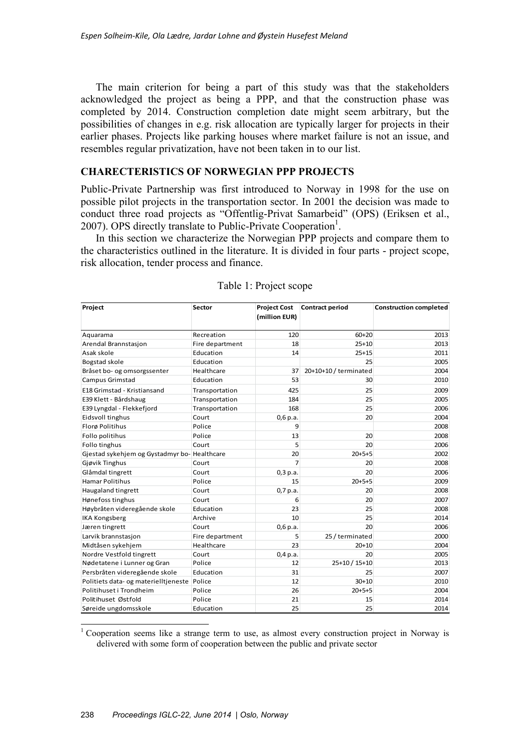The main criterion for being a part of this study was that the stakeholders acknowledged the project as being a PPP, and that the construction phase was completed by 2014. Construction completion date might seem arbitrary, but the possibilities of changes in e.g. risk allocation are typically larger for projects in their earlier phases. Projects like parking houses where market failure is not an issue, and resembles regular privatization, have not been taken in to our list.

# **CHARECTERISTICS OF NORWEGIAN PPP PROJECTS**

Public-Private Partnership was first introduced to Norway in 1998 for the use on possible pilot projects in the transportation sector. In 2001 the decision was made to conduct three road projects as "Offentlig-Privat Samarbeid" (OPS) (Eriksen et al., 2007). OPS directly translate to Public-Private Cooperation<sup>1</sup>.

In this section we characterize the Norwegian PPP projects and compare them to the characteristics outlined in the literature. It is divided in four parts - project scope, risk allocation, tender process and finance.

| Project                                     | Sector                       | <b>Project Cost</b> | <b>Contract period</b> | <b>Construction completed</b> |  |
|---------------------------------------------|------------------------------|---------------------|------------------------|-------------------------------|--|
|                                             |                              | (million EUR)       |                        |                               |  |
| Aquarama                                    | Recreation                   | 120                 | $60 + 20$              | 2013                          |  |
|                                             |                              | 18                  | $25 + 10$              |                               |  |
| Arendal Brannstasjon<br>Asak skole          | Fire department<br>Education | 14                  | $25 + 15$              | 2013<br>2011                  |  |
|                                             | Education                    |                     | 25                     | 2005                          |  |
| Bogstad skole                               | Healthcare                   | 37                  | 20+10+10 / terminated  | 2004                          |  |
| Bråset bo- og omsorgssenter                 | Education                    | 53                  | 30                     | 2010                          |  |
| <b>Campus Grimstad</b>                      |                              |                     |                        |                               |  |
| E18 Grimstad - Kristiansand                 | Transportation               | 425                 | 25                     | 2009                          |  |
| E39 Klett - Bårdshaug                       | Transportation               | 184                 | 25                     | 2005                          |  |
| E39 Lyngdal - Flekkefjord                   | Transportation               | 168                 | 25                     | 2006                          |  |
| Eidsvoll tinghus                            | Court                        | $0,6$ p.a.          | 20                     | 2004                          |  |
| Florø Politihus                             | Police                       | 9                   |                        | 2008                          |  |
| Follo politihus                             | Police                       | 13                  | 20                     | 2008                          |  |
| Follo tinghus                               | Court                        | 5                   | 20                     | 2006                          |  |
| Gjestad sykehjem og Gystadmyr bo-Healthcare |                              | 20                  | $20+5+5$               | 2002                          |  |
| Gjøvik Tinghus                              | Court                        | $\overline{7}$      | 20                     | 2008                          |  |
| Glåmdal tingrett                            | Court                        | $0,3$ p.a.          | 20                     | 2006                          |  |
| <b>Hamar Politihus</b>                      | Police                       | 15                  | $20+5+5$               | 2009                          |  |
| <b>Haugaland tingrett</b>                   | Court                        | $0,7$ p.a.          | 20                     | 2008                          |  |
| Hønefoss tinghus                            | Court                        | 6                   | 20                     | 2007                          |  |
| Høybråten videregående skole                | Education                    | 23                  | 25                     | 2008                          |  |
| <b>IKA Kongsberg</b>                        | Archive                      | 10                  | 25                     | 2014                          |  |
| Jæren tingrett                              | Court                        | $0,6$ p.a.          | 20                     | 2006                          |  |
| Larvik brannstasjon                         | Fire department              | 5                   | 25 / terminated        | 2000                          |  |
| Midtåsen sykehjem                           | Healthcare                   | 23                  | $20+10$                | 2004                          |  |
| Nordre Vestfold tingrett                    | Court                        | $0,4$ p.a.          | 20                     | 2005                          |  |
| Nødetatene i Lunner og Gran                 | Police                       | 12                  | 25+10 / 15+10          | 2013                          |  |
| Persbråten videregående skole               | Education                    | 31                  | 25                     | 2007                          |  |
| Politiets data- og materielltjeneste        | Police                       | 12                  | $30 + 10$              | 2010                          |  |
| Politihuset i Trondheim                     | Police                       | 26                  | $20+5+5$               | 2004                          |  |
| Politihuset Østfold                         | Police                       | 21                  | 15                     | 2014                          |  |
| Søreide ungdomsskole                        | Education                    | 25                  | 25                     | 2014                          |  |

<sup>1</sup> Cooperation seems like a strange term to use, as almost every construction project in Norway is delivered with some form of cooperation between the public and private sector

-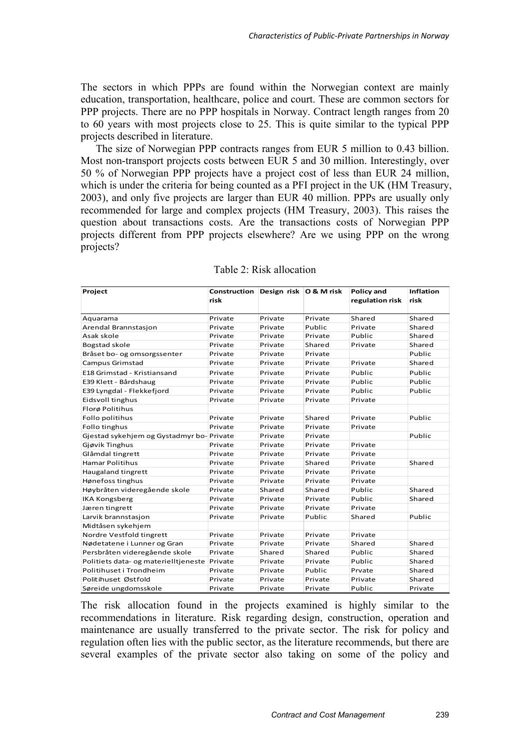The sectors in which PPPs are found within the Norwegian context are mainly education, transportation, healthcare, police and court. These are common sectors for PPP projects. There are no PPP hospitals in Norway. Contract length ranges from 20 to 60 years with most projects close to 25. This is quite similar to the typical PPP projects described in literature.

The size of Norwegian PPP contracts ranges from EUR 5 million to 0.43 billion. Most non-transport projects costs between EUR 5 and 30 million. Interestingly, over 50 % of Norwegian PPP projects have a project cost of less than EUR 24 million, which is under the criteria for being counted as a PFI project in the UK (HM Treasury, 2003), and only five projects are larger than EUR 40 million. PPPs are usually only recommended for large and complex projects (HM Treasury, 2003). This raises the question about transactions costs. Are the transactions costs of Norwegian PPP projects different from PPP projects elsewhere? Are we using PPP on the wrong projects?

| Project                                      | Construction Design risk O & M risk<br>risk |         |         | <b>Policy and</b><br>regulation risk | <b>Inflation</b><br>risk |
|----------------------------------------------|---------------------------------------------|---------|---------|--------------------------------------|--------------------------|
|                                              |                                             |         |         |                                      |                          |
| Aquarama                                     | Private                                     | Private | Private | Shared                               | Shared                   |
| Arendal Brannstasjon                         | Private                                     | Private | Public  | Private                              | Shared                   |
| Asak skole                                   | Private                                     | Private | Private | Public                               | Shared                   |
| Bogstad skole                                | Private                                     | Private | Shared  | Private                              | Shared                   |
| Bråset bo- og omsorgssenter                  | Private                                     | Private | Private |                                      | Public                   |
| Campus Grimstad                              | Private                                     | Private | Private | Private                              | Shared                   |
| E18 Grimstad - Kristiansand                  | Private                                     | Private | Private | Public                               | Public                   |
| E39 Klett - Bårdshaug                        | Private                                     | Private | Private | Public                               | Public                   |
| E39 Lyngdal - Flekkefjord                    | Private                                     | Private | Private | Public                               | Public                   |
| Eidsvoll tinghus                             | Private                                     | Private | Private | Private                              |                          |
| Florø Politihus                              |                                             |         |         |                                      |                          |
| Follo politihus                              | Private                                     | Private | Shared  | Private                              | Public                   |
| Follo tinghus                                | Private                                     | Private | Private | Private                              |                          |
| Gjestad sykehjem og Gystadmyr bo-Private     |                                             | Private | Private |                                      | Public                   |
| Gjøvik Tinghus                               | Private                                     | Private | Private | Private                              |                          |
| Glåmdal tingrett                             | Private                                     | Private | Private | Private                              |                          |
| <b>Hamar Politihus</b>                       | Private                                     | Private | Shared  | Private                              | Shared                   |
| Haugaland tingrett                           | Private                                     | Private | Private | Private                              |                          |
| Hønefoss tinghus                             | Private                                     | Private | Private | Private                              |                          |
| Høybråten videregående skole                 | Private                                     | Shared  | Shared  | Public                               | Shared                   |
| <b>IKA Kongsberg</b>                         | Private                                     | Private | Private | Public                               | Shared                   |
| Jæren tingrett                               | Private                                     | Private | Private | Private                              |                          |
| Larvik brannstasjon                          | Private                                     | Private | Public  | Shared                               | Public                   |
| Midtåsen sykehjem                            |                                             |         |         |                                      |                          |
| Nordre Vestfold tingrett                     | Private                                     | Private | Private | Private                              |                          |
| Nødetatene i Lunner og Gran                  | Private                                     | Private | Private | Shared                               | Shared                   |
| Persbråten videregående skole                | Private                                     | Shared  | Shared  | Public                               | Shared                   |
| Politiets data- og materielltjeneste Private |                                             | Private | Private | Public                               | Shared                   |
| Politihuset i Trondheim                      | Private                                     | Private | Public  | Prvate                               | Shared                   |
| Politihuset Østfold                          | Private                                     | Private | Private | Private                              | Shared                   |
| Søreide ungdomsskole                         | Private                                     | Private | Private | Public                               | Private                  |

### Table 2: Risk allocation

The risk allocation found in the projects examined is highly similar to the recommendations in literature. Risk regarding design, construction, operation and maintenance are usually transferred to the private sector. The risk for policy and regulation often lies with the public sector, as the literature recommends, but there are several examples of the private sector also taking on some of the policy and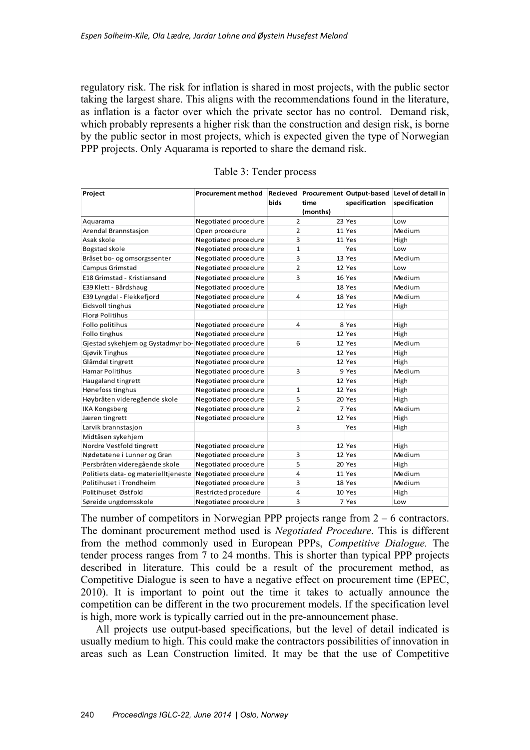regulatory risk. The risk for inflation is shared in most projects, with the public sector taking the largest share. This aligns with the recommendations found in the literature, as inflation is a factor over which the private sector has no control. Demand risk, which probably represents a higher risk than the construction and design risk, is borne by the public sector in most projects, which is expected given the type of Norwegian PPP projects. Only Aquarama is reported to share the demand risk.

| Project                                               | <b>Procurement method</b> | Recieved       |          |               | Procurement Output-based Level of detail in |
|-------------------------------------------------------|---------------------------|----------------|----------|---------------|---------------------------------------------|
|                                                       |                           | bids           | time     | specification | specification                               |
|                                                       |                           |                | (months) |               |                                             |
| Aquarama                                              | Negotiated procedure      | $\overline{2}$ |          | 23 Yes        | Low                                         |
| Arendal Brannstasjon                                  | Open procedure            | $\overline{2}$ |          | 11 Yes        | Medium                                      |
| Asak skole                                            | Negotiated procedure      | 3              |          | 11 Yes        | High                                        |
| Bogstad skole                                         | Negotiated procedure      | $\mathbf{1}$   |          | Yes           | Low                                         |
| Bråset bo- og omsorgssenter                           | Negotiated procedure      | 3              |          | 13 Yes        | Medium                                      |
| <b>Campus Grimstad</b>                                | Negotiated procedure      | $\overline{2}$ |          | 12 Yes        | Low                                         |
| E18 Grimstad - Kristiansand                           | Negotiated procedure      | $\overline{3}$ |          | 16 Yes        | Medium                                      |
| E39 Klett - Bårdshaug                                 | Negotiated procedure      |                |          | 18 Yes        | Medium                                      |
| E39 Lyngdal - Flekkefjord                             | Negotiated procedure      | 4              |          | 18 Yes        | Medium                                      |
| Eidsvoll tinghus                                      | Negotiated procedure      |                |          | 12 Yes        | High                                        |
| Florø Politihus                                       |                           |                |          |               |                                             |
| Follo politihus                                       | Negotiated procedure      | 4              |          | 8 Yes         | High                                        |
| Follo tinghus                                         | Negotiated procedure      |                |          | 12 Yes        | High                                        |
| Gjestad sykehjem og Gystadmyr bo-Negotiated procedure |                           | 6              |          | 12 Yes        | Medium                                      |
| Gjøvik Tinghus                                        | Negotiated procedure      |                |          | 12 Yes        | High                                        |
| Glåmdal tingrett                                      | Negotiated procedure      |                |          | 12 Yes        | High                                        |
| <b>Hamar Politihus</b>                                | Negotiated procedure      | 3              |          | 9 Yes         | Medium                                      |
| Haugaland tingrett                                    | Negotiated procedure      |                |          | 12 Yes        | High                                        |
| Hønefoss tinghus                                      | Negotiated procedure      | $\mathbf{1}$   |          | 12 Yes        | High                                        |
| Høybråten videregående skole                          | Negotiated procedure      | 5              |          | 20 Yes        | High                                        |
| <b>IKA Kongsberg</b>                                  | Negotiated procedure      | $\overline{2}$ |          | 7 Yes         | Medium                                      |
| Jæren tingrett                                        | Negotiated procedure      |                |          | 12 Yes        | High                                        |
| Larvik brannstasjon                                   |                           | $\overline{3}$ |          | Yes           | High                                        |
| Midtåsen sykehjem                                     |                           |                |          |               |                                             |
| Nordre Vestfold tingrett                              | Negotiated procedure      |                |          | 12 Yes        | High                                        |
| Nødetatene i Lunner og Gran                           | Negotiated procedure      | 3              |          | 12 Yes        | Medium                                      |
| Persbråten videregående skole                         | Negotiated procedure      | 5              |          | 20 Yes        | High                                        |
| Politiets data- og materielltjeneste                  | Negotiated procedure      | 4              |          | 11 Yes        | Medium                                      |
| Politihuset i Trondheim                               | Negotiated procedure      | 3              |          | 18 Yes        | Medium                                      |
| Politihuset Østfold                                   | Restricted procedure      | 4              |          | 10 Yes        | High                                        |
| Søreide ungdomsskole                                  | Negotiated procedure      | 3              |          | 7 Yes         | Low                                         |

|  |  | Table 3: Tender process |  |
|--|--|-------------------------|--|
|--|--|-------------------------|--|

The number of competitors in Norwegian PPP projects range from  $2 - 6$  contractors. The dominant procurement method used is *Negotiated Procedure*. This is different from the method commonly used in European PPPs, *Competitive Dialogue.* The tender process ranges from 7 to 24 months. This is shorter than typical PPP projects described in literature. This could be a result of the procurement method, as Competitive Dialogue is seen to have a negative effect on procurement time (EPEC, 2010). It is important to point out the time it takes to actually announce the competition can be different in the two procurement models. If the specification level is high, more work is typically carried out in the pre-announcement phase.

All projects use output-based specifications, but the level of detail indicated is usually medium to high. This could make the contractors possibilities of innovation in areas such as Lean Construction limited. It may be that the use of Competitive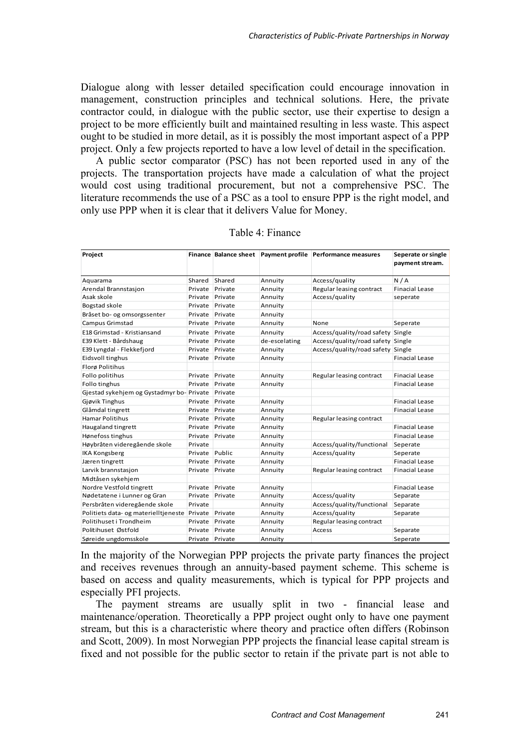Dialogue along with lesser detailed specification could encourage innovation in management, construction principles and technical solutions. Here, the private contractor could, in dialogue with the public sector, use their expertise to design a project to be more efficiently built and maintained resulting in less waste. This aspect ought to be studied in more detail, as it is possibly the most important aspect of a PPP project. Only a few projects reported to have a low level of detail in the specification.

A public sector comparator (PSC) has not been reported used in any of the projects. The transportation projects have made a calculation of what the project would cost using traditional procurement, but not a comprehensive PSC. The literature recommends the use of a PSC as a tool to ensure PPP is the right model, and only use PPP when it is clear that it delivers Value for Money.

| Project                                      |         |         |               | Finance Balance sheet Payment profile Performance measures |                       |
|----------------------------------------------|---------|---------|---------------|------------------------------------------------------------|-----------------------|
|                                              |         |         |               |                                                            | payment stream.       |
| Aquarama                                     | Shared  | Shared  | Annuity       | Access/quality                                             | N/A                   |
| Arendal Brannstasjon                         | Private | Private | Annuity       | Regular leasing contract                                   | <b>Finacial Lease</b> |
| Asak skole                                   | Private | Private | Annuity       | Access/quality                                             | seperate              |
| Bogstad skole                                | Private | Private | Annuity       |                                                            |                       |
| Bråset bo- og omsorgssenter                  | Private | Private | Annuity       |                                                            |                       |
| Campus Grimstad                              | Private | Private | Annuity       | None                                                       |                       |
|                                              |         |         |               |                                                            | Seperate              |
| E18 Grimstad - Kristiansand                  | Private | Private | Annuity       | Access/quality/road safety                                 | Single                |
| E39 Klett - Bårdshaug                        | Private | Private | de-escelating | Access/quality/road safety                                 | Single                |
| E39 Lyngdal - Flekkefjord                    | Private | Private | Annuity       | Access/quality/road safety                                 | Single                |
| Eidsvoll tinghus                             | Private | Private | Annuity       |                                                            | <b>Finacial Lease</b> |
| Florø Politihus                              |         |         |               |                                                            |                       |
| Follo politihus                              | Private | Private | Annuity       | Regular leasing contract                                   | <b>Finacial Lease</b> |
| Follo tinghus                                | Private | Private | Annuity       |                                                            | <b>Finacial Lease</b> |
| Gjestad sykehjem og Gystadmyr bo-Private     |         | Private |               |                                                            |                       |
| Gjøvik Tinghus                               | Private | Private | Annuity       |                                                            | <b>Finacial Lease</b> |
| Glåmdal tingrett                             | Private | Private | Annuity       |                                                            | <b>Finacial Lease</b> |
| <b>Hamar Politihus</b>                       | Private | Private | Annuity       | Regular leasing contract                                   |                       |
| Haugaland tingrett                           | Private | Private | Annuity       |                                                            | <b>Finacial Lease</b> |
| Hønefoss tinghus                             | Private | Private | Annuity       |                                                            | <b>Finacial Lease</b> |
| Høybråten videregående skole                 | Private |         | Annuity       | Access/quality/functional                                  | Seperate              |
| <b>IKA Kongsberg</b>                         | Private | Public  | Annuity       | Access/quality                                             | Seperate              |
| Jæren tingrett                               | Private | Private | Annuity       |                                                            | <b>Finacial Lease</b> |
| Larvik brannstasjon                          | Private | Private | Annuity       | Regular leasing contract                                   | <b>Finacial Lease</b> |
| Midtåsen sykehjem                            |         |         |               |                                                            |                       |
| Nordre Vestfold tingrett                     | Private | Private | Annuity       |                                                            | <b>Finacial Lease</b> |
| Nødetatene i Lunner og Gran                  | Private | Private | Annuity       | Access/quality                                             | Separate              |
| Persbråten videregående skole                | Private |         | Annuity       | Access/quality/functional                                  | Separate              |
| Politiets data- og materielltjeneste Private |         | Private | Annuity       | Access/quality                                             | Separate              |
| Politihuset i Trondheim                      | Private | Private | Annuity       | Regular leasing contract                                   |                       |
| Politihuset Østfold                          | Private | Private | Annuity       | Access                                                     | Separate              |
| Søreide ungdomsskole                         | Private | Private | Annuity       |                                                            | Seperate              |

Table 4: Finance

In the majority of the Norwegian PPP projects the private party finances the project and receives revenues through an annuity-based payment scheme. This scheme is based on access and quality measurements, which is typical for PPP projects and especially PFI projects.

The payment streams are usually split in two - financial lease and maintenance/operation. Theoretically a PPP project ought only to have one payment stream, but this is a characteristic where theory and practice often differs (Robinson and Scott, 2009). In most Norwegian PPP projects the financial lease capital stream is fixed and not possible for the public sector to retain if the private part is not able to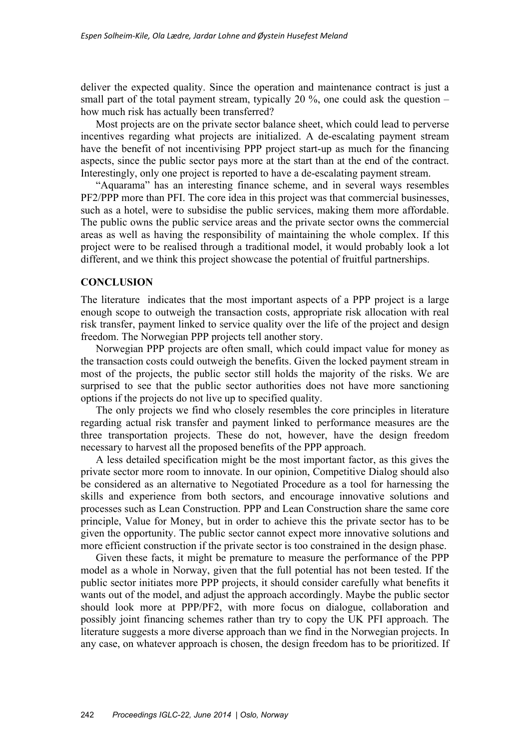deliver the expected quality. Since the operation and maintenance contract is just a small part of the total payment stream, typically 20  $\%$ , one could ask the question – how much risk has actually been transferred?

Most projects are on the private sector balance sheet, which could lead to perverse incentives regarding what projects are initialized. A de-escalating payment stream have the benefit of not incentivising PPP project start-up as much for the financing aspects, since the public sector pays more at the start than at the end of the contract. Interestingly, only one project is reported to have a de-escalating payment stream.

"Aquarama" has an interesting finance scheme, and in several ways resembles PF2/PPP more than PFI. The core idea in this project was that commercial businesses, such as a hotel, were to subsidise the public services, making them more affordable. The public owns the public service areas and the private sector owns the commercial areas as well as having the responsibility of maintaining the whole complex. If this project were to be realised through a traditional model, it would probably look a lot different, and we think this project showcase the potential of fruitful partnerships.

#### **CONCLUSION**

The literature indicates that the most important aspects of a PPP project is a large enough scope to outweigh the transaction costs, appropriate risk allocation with real risk transfer, payment linked to service quality over the life of the project and design freedom. The Norwegian PPP projects tell another story.

Norwegian PPP projects are often small, which could impact value for money as the transaction costs could outweigh the benefits. Given the locked payment stream in most of the projects, the public sector still holds the majority of the risks. We are surprised to see that the public sector authorities does not have more sanctioning options if the projects do not live up to specified quality.

The only projects we find who closely resembles the core principles in literature regarding actual risk transfer and payment linked to performance measures are the three transportation projects. These do not, however, have the design freedom necessary to harvest all the proposed benefits of the PPP approach.

A less detailed specification might be the most important factor, as this gives the private sector more room to innovate. In our opinion, Competitive Dialog should also be considered as an alternative to Negotiated Procedure as a tool for harnessing the skills and experience from both sectors, and encourage innovative solutions and processes such as Lean Construction. PPP and Lean Construction share the same core principle, Value for Money, but in order to achieve this the private sector has to be given the opportunity. The public sector cannot expect more innovative solutions and more efficient construction if the private sector is too constrained in the design phase.

Given these facts, it might be premature to measure the performance of the PPP model as a whole in Norway, given that the full potential has not been tested. If the public sector initiates more PPP projects, it should consider carefully what benefits it wants out of the model, and adjust the approach accordingly. Maybe the public sector should look more at PPP/PF2, with more focus on dialogue, collaboration and possibly joint financing schemes rather than try to copy the UK PFI approach. The literature suggests a more diverse approach than we find in the Norwegian projects. In any case, on whatever approach is chosen, the design freedom has to be prioritized. If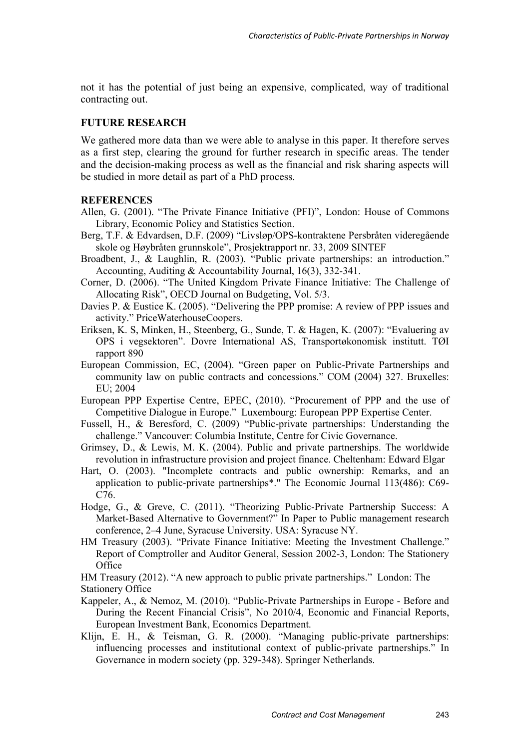not it has the potential of just being an expensive, complicated, way of traditional contracting out.

#### **FUTURE RESEARCH**

We gathered more data than we were able to analyse in this paper. It therefore serves as a first step, clearing the ground for further research in specific areas. The tender and the decision-making process as well as the financial and risk sharing aspects will be studied in more detail as part of a PhD process.

# **REFERENCES**

- Allen, G. (2001). "The Private Finance Initiative (PFI)", London: House of Commons Library, Economic Policy and Statistics Section.
- Berg, T.F. & Edvardsen, D.F. (2009) "Livsløp/OPS-kontraktene Persbråten videregående skole og Høybråten grunnskole", Prosjektrapport nr. 33, 2009 SINTEF
- Broadbent, J., & Laughlin, R. (2003). "Public private partnerships: an introduction." Accounting, Auditing & Accountability Journal, 16(3), 332-341.
- Corner, D. (2006). "The United Kingdom Private Finance Initiative: The Challenge of Allocating Risk", OECD Journal on Budgeting, Vol. 5/3.
- Davies P. & Eustice K. (2005). "Delivering the PPP promise: A review of PPP issues and activity." PriceWaterhouseCoopers.
- Eriksen, K. S, Minken, H., Steenberg, G., Sunde, T. & Hagen, K. (2007): "Evaluering av OPS i vegsektoren". Dovre International AS, Transportøkonomisk institutt. TØI rapport 890
- European Commission, EC, (2004). "Green paper on Public-Private Partnerships and community law on public contracts and concessions." COM (2004) 327. Bruxelles: EU; 2004
- European PPP Expertise Centre, EPEC, (2010). "Procurement of PPP and the use of Competitive Dialogue in Europe." Luxembourg: European PPP Expertise Center.
- Fussell, H., & Beresford, C. (2009) "Public-private partnerships: Understanding the challenge." Vancouver: Columbia Institute, Centre for Civic Governance.
- Grimsey, D., & Lewis, M. K. (2004). Public and private partnerships. The worldwide revolution in infrastructure provision and project finance. Cheltenham: Edward Elgar
- Hart, O. (2003). "Incomplete contracts and public ownership: Remarks, and an application to public-private partnerships\*." The Economic Journal 113(486): C69- C<sub>76</sub>
- Hodge, G., & Greve, C. (2011). "Theorizing Public-Private Partnership Success: A Market-Based Alternative to Government?" In Paper to Public management research conference, 2–4 June, Syracuse University. USA: Syracuse NY.
- HM Treasury (2003). "Private Finance Initiative: Meeting the Investment Challenge." Report of Comptroller and Auditor General, Session 2002-3, London: The Stationery **Office**

HM Treasury (2012). "A new approach to public private partnerships." London: The Stationery Office

- Kappeler, A., & Nemoz, M. (2010). "Public-Private Partnerships in Europe Before and During the Recent Financial Crisis", No 2010/4, Economic and Financial Reports, European Investment Bank, Economics Department.
- Klijn, E. H., & Teisman, G. R. (2000). "Managing public-private partnerships: influencing processes and institutional context of public-private partnerships." In Governance in modern society (pp. 329-348). Springer Netherlands.